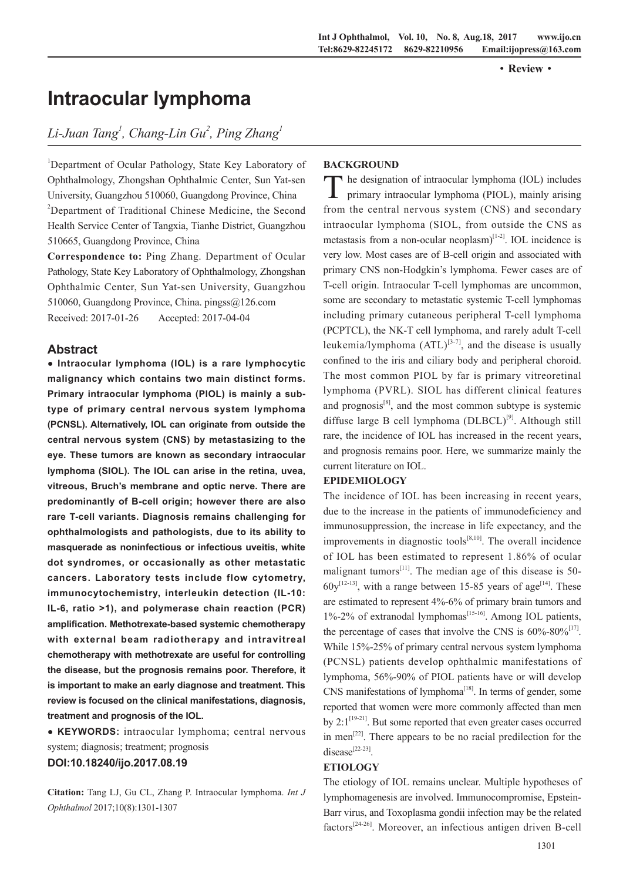·**Review**·

# **Intraocular lymphoma**

## $Li$ -Juan Tang<sup>1</sup>, Chang-Lin Gu<sup>2</sup>, Ping Zhang<sup>1</sup>

<sup>1</sup>Department of Ocular Pathology, State Key Laboratory of Ophthalmology, Zhongshan Ophthalmic Center, Sun Yat-sen University, Guangzhou 510060, Guangdong Province, China <sup>2</sup>Department of Traditional Chinese Medicine, the Second Health Service Center of Tangxia, Tianhe District, Guangzhou 510665, Guangdong Province, China

**Correspondence to:** Ping Zhang. Department of Ocular Pathology, State Key Laboratory of Ophthalmology, Zhongshan Ophthalmic Center, Sun Yat-sen University, Guangzhou 510060, Guangdong Province, China. pingss@126.com Received: 2017-01-26 Accepted: 2017-04-04

## **Abstract**

**● Intraocular lymphoma (IOL) is a rare lymphocytic malignancy which contains two main distinct forms. Primary intraocular lymphoma (PIOL) is mainly a subtype of primary central nervous system lymphoma (PCNSL). Alternatively, IOL can originate from outside the central nervous system (CNS) by metastasizing to the eye. These tumors are known as secondary intraocular lymphoma (SIOL). The IOL can arise in the retina, uvea, vitreous, Bruch's membrane and optic nerve. There are predominantly of B-cell origin; however there are also rare T-cell variants. Diagnosis remains challenging for ophthalmologists and pathologists, due to its ability to masquerade as noninfectious or infectious uveitis, white dot syndromes, or occasionally as other metastatic cancers. Laboratory tests include flow cytometry, immunocytochemistry, interleukin detection (IL-10: IL-6, ratio >1), and polymerase chain reaction (PCR) amplification. Methotrexate-based systemic chemotherapy with external beam radiotherapy and intravitreal chemotherapy with methotrexate are useful for controlling the disease, but the prognosis remains poor. Therefore, it is important to make an early diagnose and treatment. This review is focused on the clinical manifestations, diagnosis, treatment and prognosis of the IOL.**

**● KEYWORDS:** intraocular lymphoma; central nervous system; diagnosis; treatment; prognosis

## **DOI:10.18240/ijo.2017.08.19**

**Citation:** Tang LJ, Gu CL, Zhang P. Intraocular lymphoma. *Int J Ophthalmol* 2017;10(8):1301-1307

## **BACKGROUND**

The designation of intraocular lymphoma (IOL) includes primary intraocular lymphoma (PIOL), mainly arising from the central nervous system (CNS) and secondary intraocular lymphoma (SIOL, from outside the CNS as metastasis from a non-ocular neoplasm $[1-2]$ . IOL incidence is very low. Most cases are of B-cell origin and associated with primary CNS non-Hodgkin's lymphoma. Fewer cases are of T-cell origin. Intraocular T-cell lymphomas are uncommon, some are secondary to metastatic systemic T-cell lymphomas including primary cutaneous peripheral T-cell lymphoma (PCPTCL), the NK-T cell lymphoma, and rarely adult T-cell leukemia/lymphoma  $(ATL)^{[3-7]}$ , and the disease is usually confined to the iris and ciliary body and peripheral choroid. The most common PIOL by far is primary vitreoretinal lymphoma (PVRL). SIOL has different clinical features and prognosis $[8]$ , and the most common subtype is systemic diffuse large B cell lymphoma  $(DLBCL)^{[9]}$ . Although still rare, the incidence of IOL has increased in the recent years, and prognosis remains poor. Here, we summarize mainly the current literature on IOL.

#### **EPIDEMIOLOGY**

The incidence of IOL has been increasing in recent years, due to the increase in the patients of immunodeficiency and immunosuppression, the increase in life expectancy, and the improvements in diagnostic tools $[8,10]$ . The overall incidence of IOL has been estimated to represent 1.86% of ocular malignant tumors<sup>[11]</sup>. The median age of this disease is 50- $60y^{[12-13]}$ , with a range between 15-85 years of age<sup>[14]</sup>. These are estimated to represent 4%-6% of primary brain tumors and  $1\%$ -2% of extranodal lymphomas<sup>[15-16]</sup>. Among IOL patients, the percentage of cases that involve the CNS is  $60\% - 80\%$ <sup>[17]</sup>. While 15%-25% of primary central nervous system lymphoma (PCNSL) patients develop ophthalmic manifestations of lymphoma, 56%-90% of PIOL patients have or will develop  $CNS$  manifestations of lymphoma $^{[18]}$ . In terms of gender, some reported that women were more commonly affected than men by  $2:1^{[19-21]}$ . But some reported that even greater cases occurred in men<sup>[22]</sup>. There appears to be no racial predilection for the  $disease^{[22-23]}$ 

## **ETIOLOGY**

The etiology of IOL remains unclear. Multiple hypotheses of lymphomagenesis are involved. Immunocompromise, Epstein-Barr virus, and Toxoplasma gondii infection may be the related  $factors^{[24-26]}$ . Moreover, an infectious antigen driven B-cell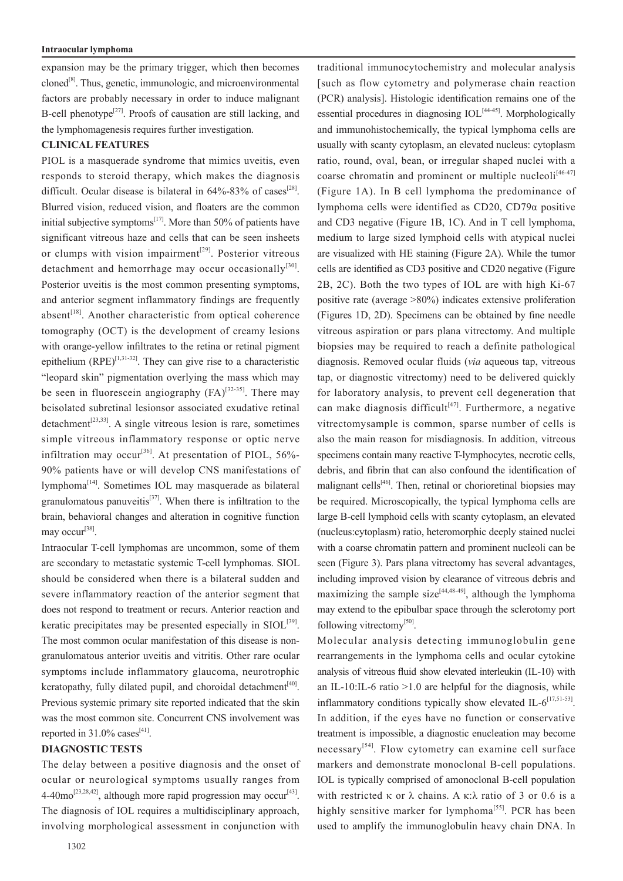#### **Intraocular lymphoma**

expansion may be the primary trigger, which then becomes  $\alpha$ cloned<sup>[8]</sup>. Thus, genetic, immunologic, and microenvironmental factors are probably necessary in order to induce malignant B-cell phenotype<sup>[27]</sup>. Proofs of causation are still lacking, and the lymphomagenesis requires further investigation.

#### **CLINICAL FEATURES**

PIOL is a masquerade syndrome that mimics uveitis, even responds to steroid therapy, which makes the diagnosis difficult. Ocular disease is bilateral in  $64\% - 83\%$  of cases<sup>[28]</sup>. Blurred vision, reduced vision, and floaters are the common initial subjective symptoms $[17]$ . More than 50% of patients have significant vitreous haze and cells that can be seen insheets or clumps with vision impairment<sup>[29]</sup>. Posterior vitreous detachment and hemorrhage may occur occasionally<sup>[30]</sup>. Posterior uveitis is the most common presenting symptoms, and anterior segment inflammatory findings are frequently absent<sup>[18]</sup>. Another characteristic from optical coherence tomography (OCT) is the development of creamy lesions with orange-yellow infiltrates to the retina or retinal pigment epithelium  $(RPE)^{[1,31-32]}$ . They can give rise to a characteristic "leopard skin" pigmentation overlying the mass which may be seen in fluorescein angiography  $(FA)^{[32-35]}$ . There may beisolated subretinal lesionsor associated exudative retinal  $deta^{[23,33]}$ . A single vitreous lesion is rare, sometimes simple vitreous inflammatory response or optic nerve infiltration may occur<sup>[36]</sup>. At presentation of PIOL,  $56\%$ -90% patients have or will develop CNS manifestations of lymphoma[14]. Sometimes IOL may masquerade as bilateral granulomatous panuveitis<sup>[37]</sup>. When there is infiltration to the brain, behavioral changes and alteration in cognitive function may occur<sup>[38]</sup>.

Intraocular T-cell lymphomas are uncommon, some of them are secondary to metastatic systemic T-cell lymphomas. SIOL should be considered when there is a bilateral sudden and severe inflammatory reaction of the anterior segment that does not respond to treatment or recurs. Anterior reaction and keratic precipitates may be presented especially in  $SIOL^{[39]}$ . The most common ocular manifestation of this disease is nongranulomatous anterior uveitis and vitritis. Other rare ocular symptoms include inflammatory glaucoma, neurotrophic keratopathy, fully dilated pupil, and choroidal detachment<sup> $[40]$ </sup>. Previous systemic primary site reported indicated that the skin was the most common site. Concurrent CNS involvement was reported in 31.0% cases<sup>[41]</sup>.

## **DIAGNOSTIC TESTS**

The delay between a positive diagnosis and the onset of ocular or neurological symptoms usually ranges from  $4-40$ mo<sup>[23,28,42]</sup>, although more rapid progression may occur<sup>[43]</sup>. The diagnosis of IOL requires a multidisciplinary approach, involving morphological assessment in conjunction with

essential procedures in diagnosing  $IOL<sup>[44-45]</sup>$ . Morphologically and immunohistochemically, the typical lymphoma cells are usually with scanty cytoplasm, an elevated nucleus: cytoplasm ratio, round, oval, bean, or irregular shaped nuclei with a coarse chromatin and prominent or multiple nucleoli $[46-47]$ (Figure 1A). In B cell lymphoma the predominance of lymphoma cells were identified as CD20, CD79α positive and CD3 negative (Figure 1B, 1C). And in T cell lymphoma, medium to large sized lymphoid cells with atypical nuclei are visualized with HE staining (Figure 2A). While the tumor cells are identified as CD3 positive and CD20 negative (Figure 2B, 2C). Both the two types of IOL are with high Ki-67 positive rate (average >80%) indicates extensive proliferation (Figures 1D, 2D). Specimens can be obtained by fine needle vitreous aspiration or pars plana vitrectomy. And multiple biopsies may be required to reach a definite pathological diagnosis. Removed ocular fluids (*via* aqueous tap, vitreous tap, or diagnostic vitrectomy) need to be delivered quickly for laboratory analysis, to prevent cell degeneration that can make diagnosis difficult<sup>[47]</sup>. Furthermore, a negative vitrectomysample is common, sparse number of cells is also the main reason for misdiagnosis. In addition, vitreous specimens contain many reactive T-lymphocytes, necrotic cells, debris, and fibrin that can also confound the identification of malignant cells $[46]$ . Then, retinal or chorioretinal biopsies may be required. Microscopically, the typical lymphoma cells are large B-cell lymphoid cells with scanty cytoplasm, an elevated (nucleus:cytoplasm) ratio, heteromorphic deeply stained nuclei with a coarse chromatin pattern and prominent nucleoli can be seen (Figure 3). Pars plana vitrectomy has several advantages, including improved vision by clearance of vitreous debris and maximizing the sample size<sup>[44,48-49]</sup>, although the lymphoma may extend to the epibulbar space through the sclerotomy port following vitrectomy<sup>[50]</sup>. Molecular analysis detecting immunoglobulin gene

traditional immunocytochemistry and molecular analysis [such as flow cytometry and polymerase chain reaction (PCR) analysis]. Histologic identification remains one of the

rearrangements in the lymphoma cells and ocular cytokine analysis of vitreous fluid show elevated interleukin (IL-10) with an IL-10:IL-6 ratio  $>1.0$  are helpful for the diagnosis, while inflammatory conditions typically show elevated IL- $6^{[17,51-53]}$ . In addition, if the eyes have no function or conservative treatment is impossible, a diagnostic enucleation may become  $n$ ecessary<sup>[54]</sup>. Flow cytometry can examine cell surface markers and demonstrate monoclonal B-cell populations. IOL is typically comprised of amonoclonal B-cell population with restricted κ or  $\lambda$  chains. A κ:λ ratio of 3 or 0.6 is a highly sensitive marker for lymphoma<sup>[55]</sup>. PCR has been used to amplify the immunoglobulin heavy chain DNA. In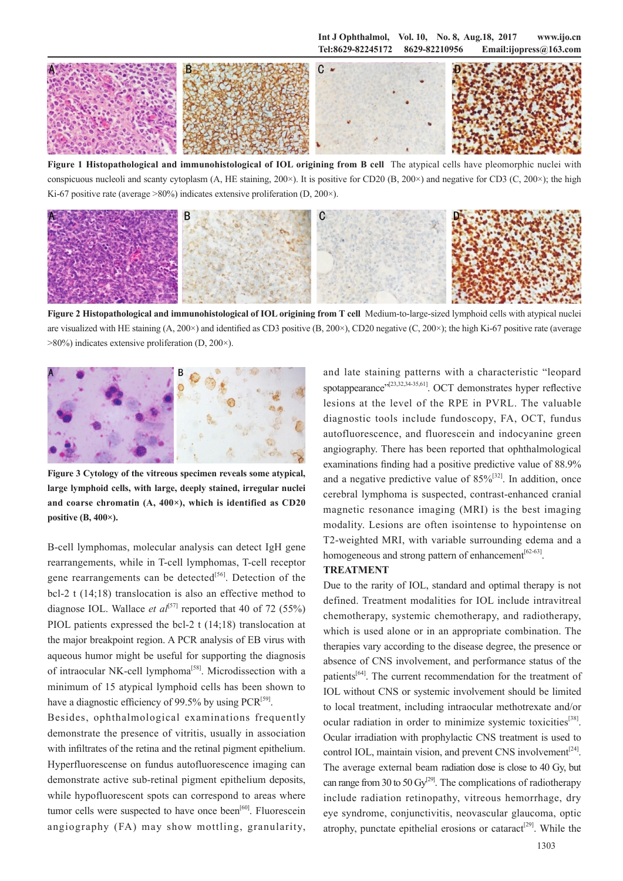**Int J Ophthalmol, Vol. 10, No. 8, Aug.18, 2017 www.ijo.cn Tel:8629-82245172 8629-82210956 Email:ijopress@163.com**



**Figure 1 Histopathological and immunohistological of IOL origining from B cell** The atypical cells have pleomorphic nuclei with conspicuous nucleoli and scanty cytoplasm (A, HE staining, 200 $\times$ ). It is positive for CD20 (B, 200 $\times$ ) and negative for CD3 (C, 200 $\times$ ); the high Ki-67 positive rate (average  $>80\%$ ) indicates extensive proliferation (D, 200 $\times$ ).



**Figure 2 Histopathological and immunohistological of IOL origining from T cell** Medium-to-large-sized lymphoid cells with atypical nuclei are visualized with HE staining  $(A, 200\times)$  and identified as CD3 positive  $(B, 200\times)$ , CD20 negative  $(C, 200\times)$ ; the high Ki-67 positive rate (average >80%) indicates extensive proliferation (D, 200×).



**Figure 3 Cytology of the vitreous specimen reveals some atypical, large lymphoid cells, with large, deeply stained, irregular nuclei and coarse chromatin (A, 400×), which is identified as CD20 positive (B, 400×).** 

B-cell lymphomas, molecular analysis can detect IgH gene rearrangements, while in T-cell lymphomas, T-cell receptor gene rearrangements can be detected<sup>[56]</sup>. Detection of the bcl-2 t (14;18) translocation is also an effective method to diagnose IOL. Wallace *et al*<sup>[57]</sup> reported that 40 of 72 (55%) PIOL patients expressed the bcl-2 t (14;18) translocation at the major breakpoint region. A PCR analysis of EB virus with aqueous humor might be useful for supporting the diagnosis of intraocular NK-cell lymphoma<sup>[58]</sup>. Microdissection with a minimum of 15 atypical lymphoid cells has been shown to have a diagnostic efficiency of 99.5% by using  $PCR^{[59]}$ .

Besides, ophthalmological examinations frequently demonstrate the presence of vitritis, usually in association with infiltrates of the retina and the retinal pigment epithelium. Hyperfluorescense on fundus autofluorescence imaging can demonstrate active sub-retinal pigment epithelium deposits, while hypofluorescent spots can correspond to areas where tumor cells were suspected to have once been<sup>[60]</sup>. Fluorescein angiography (FA) may show mottling, granularity,

and late staining patterns with a characteristic "leopard spotappearance"<sup>[23,32,34-35,61]</sup>. OCT demonstrates hyper reflective lesions at the level of the RPE in PVRL. The valuable diagnostic tools include fundoscopy, FA, OCT, fundus autofluorescence, and fluorescein and indocyanine green angiography. There has been reported that ophthalmological examinations finding had a positive predictive value of 88.9% and a negative predictive value of  $85\%^{32}$ . In addition, once cerebral lymphoma is suspected, contrast-enhanced cranial magnetic resonance imaging (MRI) is the best imaging modality. Lesions are often isointense to hypointense on T2-weighted MRI, with variable surrounding edema and a homogeneous and strong pattern of enhancement<sup>[62-63]</sup>.

#### **TREATMENT**

Due to the rarity of IOL, standard and optimal therapy is not defined. Treatment modalities for IOL include intravitreal chemotherapy, systemic chemotherapy, and radiotherapy, which is used alone or in an appropriate combination. The therapies vary according to the disease degree, the presence or absence of CNS involvement, and performance status of the patients<sup>[64]</sup>. The current recommendation for the treatment of IOL without CNS or systemic involvement should be limited to local treatment, including intraocular methotrexate and/or ocular radiation in order to minimize systemic toxicities<sup>[38]</sup>. Ocular irradiation with prophylactic CNS treatment is used to control IOL, maintain vision, and prevent CNS involvement $[24]$ . The average external beam radiation dose is close to 40 Gy, but can range from 30 to 50  $\text{Gy}^{[29]}$ . The complications of radiotherapy include radiation retinopathy, vitreous hemorrhage, dry eye syndrome, conjunctivitis, neovascular glaucoma, optic atrophy, punctate epithelial erosions or cataract<sup>[29]</sup>. While the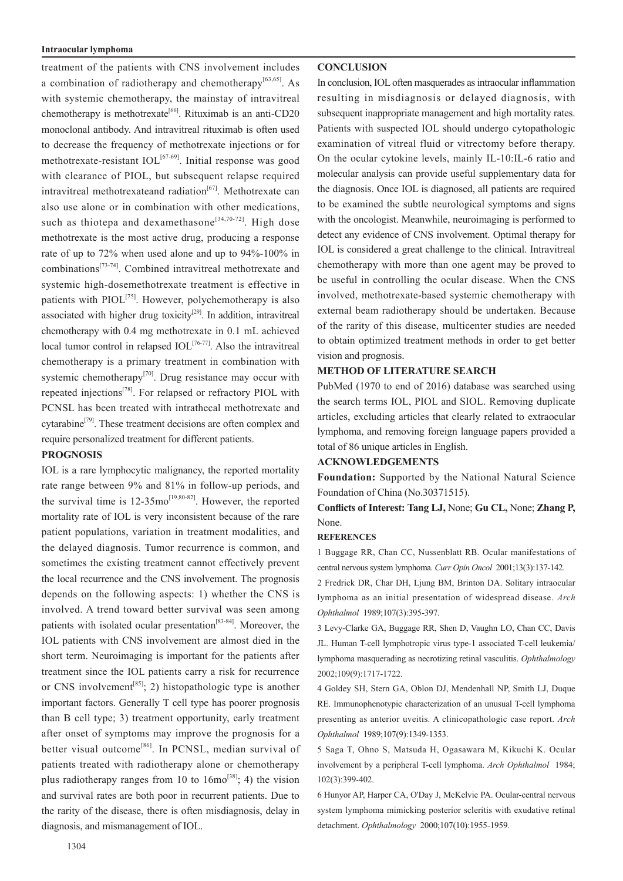#### **Intraocular lymphoma**

treatment of the patients with CNS involvement includes a combination of radiotherapy and chemotherapy<sup>[63,65]</sup>. As with systemic chemotherapy, the mainstay of intravitreal chemotherapy is methotrexate<sup>[66]</sup>. Rituximab is an anti-CD20 monoclonal antibody. And intravitreal rituximab is often used to decrease the frequency of methotrexate injections or for methotrexate-resistant  $IOL<sup>[67-69]</sup>$ . Initial response was good with clearance of PIOL, but subsequent relapse required intravitreal methotrexateand radiation $[67]$ . Methotrexate can also use alone or in combination with other medications, such as thiotepa and dexamethasone<sup>[34,70-72]</sup>. High dose methotrexate is the most active drug, producing a response rate of up to 72% when used alone and up to 94%-100% in combinations[73-74]. Combined intravitreal methotrexate and systemic high-dosemethotrexate treatment is effective in patients with PIOL<sup>[75]</sup>. However, polychemotherapy is also associated with higher drug toxicity<sup>[29]</sup>. In addition, intravitreal chemotherapy with 0.4 mg methotrexate in 0.1 mL achieved local tumor control in relapsed  $IOL^{[76-77]}$ . Also the intravitreal chemotherapy is a primary treatment in combination with systemic chemotherapy<sup>[70]</sup>. Drug resistance may occur with repeated injections<sup>[78]</sup>. For relapsed or refractory PIOL with PCNSL has been treated with intrathecal methotrexate and cytarabine<sup>[79]</sup>. These treatment decisions are often complex and require personalized treatment for different patients.

#### **PROGNOSIS**

IOL is a rare lymphocytic malignancy, the reported mortality rate range between 9% and 81% in follow-up periods, and the survival time is  $12{\text -}35\text{mo}^{[19,80-82]}$ . However, the reported mortality rate of IOL is very inconsistent because of the rare patient populations, variation in treatment modalities, and the delayed diagnosis. Tumor recurrence is common, and sometimes the existing treatment cannot effectively prevent the local recurrence and the CNS involvement. The prognosis depends on the following aspects: 1) whether the CNS is involved. A trend toward better survival was seen among patients with isolated ocular presentation<sup>[83-84]</sup>. Moreover, the IOL patients with CNS involvement are almost died in the short term. Neuroimaging is important for the patients after treatment since the IOL patients carry a risk for recurrence or CNS involvement<sup>[85]</sup>; 2) histopathologic type is another important factors. Generally T cell type has poorer prognosis than B cell type; 3) treatment opportunity, early treatment after onset of symptoms may improve the prognosis for a better visual outcome<sup>[86]</sup>. In PCNSL, median survival of patients treated with radiotherapy alone or chemotherapy plus radiotherapy ranges from 10 to  $16 \text{mo}^{[38]}$ ; 4) the vision and survival rates are both poor in recurrent patients. Due to the rarity of the disease, there is often misdiagnosis, delay in diagnosis, and mismanagement of IOL.

## **CONCLUSION**

In conclusion, IOL often masquerades as intraocular inflammation resulting in misdiagnosis or delayed diagnosis, with subsequent inappropriate management and high mortality rates. Patients with suspected IOL should undergo cytopathologic examination of vitreal fluid or vitrectomy before therapy. On the ocular cytokine levels, mainly IL-10:IL-6 ratio and molecular analysis can provide useful supplementary data for the diagnosis. Once IOL is diagnosed, all patients are required to be examined the subtle neurological symptoms and signs with the oncologist. Meanwhile, neuroimaging is performed to detect any evidence of CNS involvement. Optimal therapy for IOL is considered a great challenge to the clinical. Intravitreal chemotherapy with more than one agent may be proved to be useful in controlling the ocular disease. When the CNS involved, methotrexate-based systemic chemotherapy with external beam radiotherapy should be undertaken. Because of the rarity of this disease, multicenter studies are needed to obtain optimized treatment methods in order to get better vision and prognosis.

## **METHOD OF LITERATURE SEARCH**

PubMed (1970 to end of 2016) database was searched using the search terms IOL, PIOL and SIOL. Removing duplicate articles, excluding articles that clearly related to extraocular lymphoma, and removing foreign language papers provided a total of 86 unique articles in English.

### **ACKNOWLEDGEMENTS**

**Foundation:** Supported by the National Natural Science Foundation of China (No.30371515).

**Conflicts of Interest: Tang LJ,** None; **Gu CL,** None; **Zhang P,** None.

## **REFERENCES**

1 Buggage RR, Chan CC, Nussenblatt RB. Ocular manifestations of central nervous system lymphoma. *Curr Opin Oncol* 2001;13(3):137-142.

2 Fredrick DR, Char DH, Ljung BM, Brinton DA. Solitary intraocular lymphoma as an initial presentation of widespread disease. *Arch Ophthalmol* 1989;107(3):395-397.

3 Levy-Clarke GA, Buggage RR, Shen D, Vaughn LO, Chan CC, Davis JL. Human T-cell lymphotropic virus type-1 associated T-cell leukemia/ lymphoma masquerading as necrotizing retinal vasculitis. *Ophthalmology* 2002;109(9):1717-1722.

4 Goldey SH, Stern GA, Oblon DJ, Mendenhall NP, Smith LJ, Duque RE. Immunophenotypic characterization of an unusual T-cell lymphoma presenting as anterior uveitis. A clinicopathologic case report. *Arch Ophthalmol* 1989;107(9):1349-1353.

5 Saga T, Ohno S, Matsuda H, Ogasawara M, Kikuchi K. Ocular involvement by a peripheral T-cell lymphoma. *Arch Ophthalmol* 1984; 102(3):399-402.

6 Hunyor AP, Harper CA, O'Day J, McKelvie PA. Ocular-central nervous system lymphoma mimicking posterior scleritis with exudative retinal detachment. *Ophthalmology* 2000;107(10):1955-1959.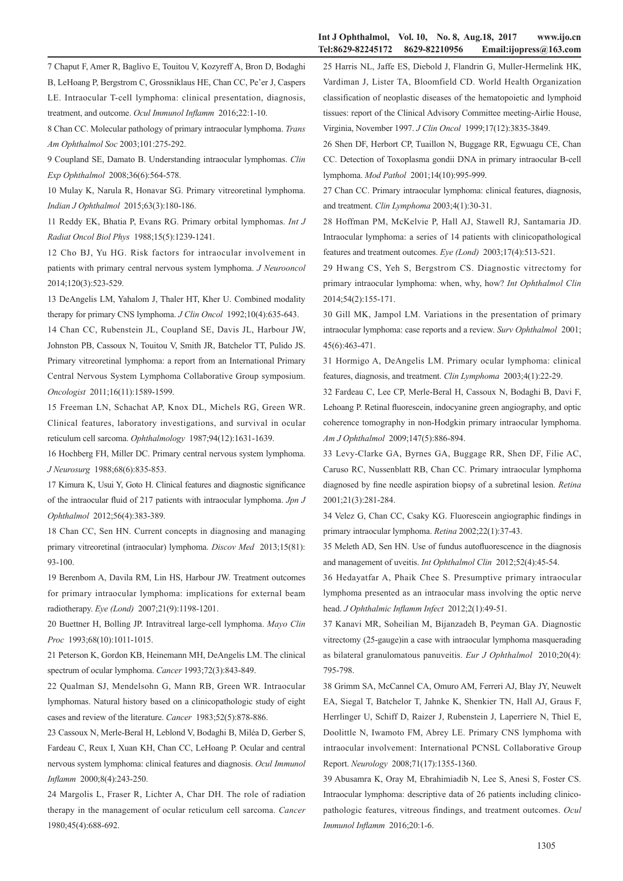#### **Int J Ophthalmol, Vol. 10, No. 8, Aug.18, 2017 www.ijo.cn Tel:8629-82245172 8629-82210956 Email:ijopress@163.com**

7 Chaput F, Amer R, Baglivo E, Touitou V, Kozyreff A, Bron D, Bodaghi B, LeHoang P, Bergstrom C, Grossniklaus HE, Chan CC, Pe'er J, Caspers LE. Intraocular T-cell lymphoma: clinical presentation, diagnosis, treatment, and outcome. *Ocul Immunol Inflamm* 2016;22:1-10.

8 Chan CC. Molecular pathology of primary intraocular lymphoma. *Trans Am Ophthalmol Soc* 2003;101:275-292.

9 Coupland SE, Damato B. Understanding intraocular lymphomas. *Clin Exp Ophthalmol* 2008;36(6):564-578.

10 Mulay K, Narula R, Honavar SG. Primary vitreoretinal lymphoma. *Indian J Ophthalmol* 2015;63(3):180-186.

11 Reddy EK, Bhatia P, Evans RG. Primary orbital lymphomas. *Int J Radiat Oncol Biol Phys* 1988;15(5):1239-1241.

12 Cho BJ, Yu HG. Risk factors for intraocular involvement in patients with primary central nervous system lymphoma. *J Neurooncol*  2014;120(3):523-529.

13 DeAngelis LM, Yahalom J, Thaler HT, Kher U. Combined modality therapy for primary CNS lymphoma. *J Clin Oncol* 1992;10(4):635-643.

14 Chan CC, Rubenstein JL, Coupland SE, Davis JL, Harbour JW, Johnston PB, Cassoux N, Touitou V, Smith JR, Batchelor TT, Pulido JS. Primary vitreoretinal lymphoma: a report from an International Primary Central Nervous System Lymphoma Collaborative Group symposium. *Oncologist* 2011;16(11):1589-1599.

15 Freeman LN, Schachat AP, Knox DL, Michels RG, Green WR. Clinical features, laboratory investigations, and survival in ocular reticulum cell sarcoma. *Ophthalmology* 1987;94(12):1631-1639.

16 Hochberg FH, Miller DC. Primary central nervous system lymphoma. *J Neurosurg* 1988;68(6):835-853.

17 Kimura K, Usui Y, Goto H. Clinical features and diagnostic significance of the intraocular fluid of 217 patients with intraocular lymphoma. *Jpn J Ophthalmol* 2012;56(4):383-389.

18 Chan CC, Sen HN. Current concepts in diagnosing and managing primary vitreoretinal (intraocular) lymphoma. *Discov Med* 2013;15(81): 93-100.

19 Berenbom A, Davila RM, Lin HS, Harbour JW. Treatment outcomes for primary intraocular lymphoma: implications for external beam radiotherapy. *Eye (Lond)* 2007;21(9):1198-1201.

20 Buettner H, Bolling JP. Intravitreal large-cell lymphoma. *Mayo Clin Proc* 1993;68(10):1011-1015.

21 Peterson K, Gordon KB, Heinemann MH, DeAngelis LM. The clinical spectrum of ocular lymphoma. *Cancer* 1993;72(3):843-849.

22 Qualman SJ, Mendelsohn G, Mann RB, Green WR. Intraocular lymphomas. Natural history based on a clinicopathologic study of eight cases and review of the literature. *Cancer* 1983;52(5):878-886.

23 Cassoux N, Merle-Beral H, Leblond V, Bodaghi B, Miléa D, Gerber S, Fardeau C, Reux I, Xuan KH, Chan CC, LeHoang P. Ocular and central nervous system lymphoma: clinical features and diagnosis. *Ocul Immunol Inflamm* 2000;8(4):243-250.

24 Margolis L, Fraser R, Lichter A, Char DH. The role of radiation therapy in the management of ocular reticulum cell sarcoma. *Cancer*  1980;45(4):688-692.

25 Harris NL, Jaffe ES, Diebold J, Flandrin G, Muller-Hermelink HK, Vardiman J, Lister TA, Bloomfield CD. World Health Organization classification of neoplastic diseases of the hematopoietic and lymphoid tissues: report of the Clinical Advisory Committee meeting-Airlie House, Virginia, November 1997. *J Clin Oncol* 1999;17(12):3835-3849.

26 Shen DF, Herbort CP, Tuaillon N, Buggage RR, Egwuagu CE, Chan CC. Detection of Toxoplasma gondii DNA in primary intraocular B-cell lymphoma. *Mod Pathol* 2001;14(10):995-999.

27 Chan CC. Primary intraocular lymphoma: clinical features, diagnosis, and treatment. *Clin Lymphoma* 2003;4(1):30-31.

28 Hoffman PM, McKelvie P, Hall AJ, Stawell RJ, Santamaria JD. Intraocular lymphoma: a series of 14 patients with clinicopathological features and treatment outcomes. *Eye (Lond)* 2003;17(4):513-521.

29 Hwang CS, Yeh S, Bergstrom CS. Diagnostic vitrectomy for primary intraocular lymphoma: when, why, how? *Int Ophthalmol Clin* 2014;54(2):155-171.

30 Gill MK, Jampol LM. Variations in the presentation of primary intraocular lymphoma: case reports and a review. *Surv Ophthalmol* 2001; 45(6):463-471.

31 Hormigo A, DeAngelis LM. Primary ocular lymphoma: clinical features, diagnosis, and treatment. *Clin Lymphoma* 2003;4(1):22-29.

32 Fardeau C, Lee CP, Merle-Beral H, Cassoux N, Bodaghi B, Davi F, Lehoang P. Retinal fluorescein, indocyanine green angiography, and optic coherence tomography in non-Hodgkin primary intraocular lymphoma. *Am J Ophthalmol* 2009;147(5):886-894.

33 Levy-Clarke GA, Byrnes GA, Buggage RR, Shen DF, Filie AC, Caruso RC, Nussenblatt RB, Chan CC. Primary intraocular lymphoma diagnosed by fine needle aspiration biopsy of a subretinal lesion. *Retina*  2001;21(3):281-284.

34 Velez G, Chan CC, Csaky KG. Fluorescein angiographic findings in primary intraocular lymphoma. *Retina* 2002;22(1):37-43.

35 Meleth AD, Sen HN. Use of fundus autofluorescence in the diagnosis and management of uveitis. *Int Ophthalmol Clin* 2012;52(4):45-54.

36 Hedayatfar A, Phaik Chee S. Presumptive primary intraocular lymphoma presented as an intraocular mass involving the optic nerve head. *J Ophthalmic Inflamm Infect* 2012;2(1):49-51.

37 Kanavi MR, Soheilian M, Bijanzadeh B, Peyman GA. Diagnostic vitrectomy (25-gauge)in a case with intraocular lymphoma masquerading as bilateral granulomatous panuveitis. *Eur J Ophthalmol* 2010;20(4): 795-798.

38 Grimm SA, McCannel CA, Omuro AM, Ferreri AJ, Blay JY, Neuwelt EA, Siegal T, Batchelor T, Jahnke K, Shenkier TN, Hall AJ, Graus F, Herrlinger U, Schiff D, Raizer J, Rubenstein J, Laperriere N, Thiel E, Doolittle N, Iwamoto FM, Abrey LE. Primary CNS lymphoma with intraocular involvement: International PCNSL Collaborative Group Report. *Neurology* 2008;71(17):1355-1360.

39 Abusamra K, Oray M, Ebrahimiadib N, Lee S, Anesi S, Foster CS. Intraocular lymphoma: descriptive data of 26 patients including clinicopathologic features, vitreous findings, and treatment outcomes. *Ocul Immunol Inflamm* 2016;20:1-6.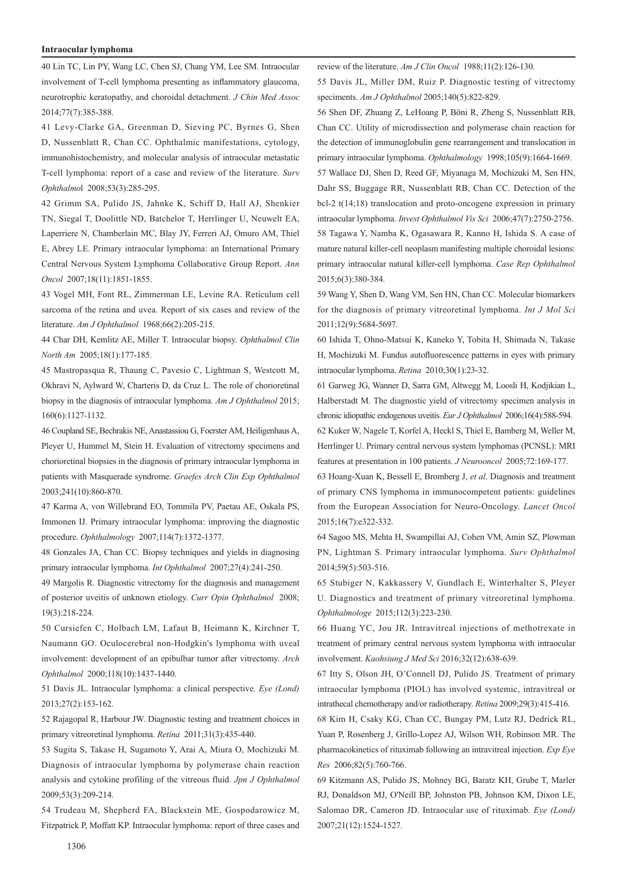#### **Intraocular lymphoma**

40 Lin TC, Lin PY, Wang LC, Chen SJ, Chang YM, Lee SM. Intraocular involvement of T-cell lymphoma presenting as inflammatory glaucoma, neurotrophic keratopathy, and choroidal detachment. *J Chin Med Assoc*  2014;77(7):385-388.

41 Levy-Clarke GA, Greenman D, Sieving PC, Byrnes G, Shen D, Nussenblatt R, Chan CC. Ophthalmic manifestations, cytology, immunohistochemistry, and molecular analysis of intraocular metastatic T-cell lymphoma: report of a case and review of the literature. *Surv Ophthalmo*l 2008;53(3):285-295.

42 Grimm SA, Pulido JS, Jahnke K, Schiff D, Hall AJ, Shenkier TN, Siegal T, Doolittle ND, Batchelor T, Herrlinger U, Neuwelt EA, Laperriere N, Chamberlain MC, Blay JY, Ferreri AJ, Omuro AM, Thiel E, Abrey LE. Primary intraocular lymphoma: an International Primary Central Nervous System Lymphoma Collaborative Group Report. *Ann Oncol* 2007;18(11):1851-1855.

43 Vogel MH, Font RL, Zimmerman LE, Levine RA. Reticulum cell sarcoma of the retina and uvea. Report of six cases and review of the literature. *Am J Ophthalmol* 1968;66(2):205-215.

44 Char DH, Kemlitz AE, Miller T. Intraocular biopsy. *Ophthalmol Clin North Am* 2005;18(1):177-185.

45 Mastropasqua R, Thaung C, Pavesio C, Lightman S, Westcott M, Okhravi N, Aylward W, Charteris D, da Cruz L. The role of chorioretinal biopsy in the diagnosis of intraocular lymphoma. *Am J Ophthalmol* 2015; 160(6):1127-1132.

46 Coupland SE, Bechrakis NE, Anastassiou G, Foerster AM, Heiligenhaus A, Pleyer U, Hummel M, Stein H. Evaluation of vitrectomy specimens and chorioretinal biopsies in the diagnosis of primary intraocular lymphoma in patients with Masquerade syndrome. *Graefes Arch Clin Exp Ophthalmol* 2003;241(10):860-870.

47 Karma A, von Willebrand EO, Tommila PV, Paetau AE, Oskala PS, Immonen IJ. Primary intraocular lymphoma: improving the diagnostic procedure. *Ophthalmology* 2007;114(7):1372-1377.

48 Gonzales JA, Chan CC. Biopsy techniques and yields in diagnosing primary intraocular lymphoma. *Int Ophthalmol* 2007;27(4):241-250.

49 Margolis R. Diagnostic vitrectomy for the diagnosis and management of posterior uveitis of unknown etiology. *Curr Opin Ophthalmol* 2008; 19(3):218-224.

50 Cursiefen C, Holbach LM, Lafaut B, Heimann K, Kirchner T, Naumann GO. Oculocerebral non-Hodgkin's lymphoma with uveal involvement: development of an epibulbar tumor after vitrectomy. *Arch Ophthalmol* 2000;118(10):1437-1440.

51 Davis JL. Intraocular lymphoma: a clinical perspective. *Eye (Lond)*  2013;27(2):153-162.

52 Rajagopal R, Harbour JW. Diagnostic testing and treatment choices in primary vitreoretinal lymphoma. *Retina* 2011;31(3):435-440.

53 Sugita S, Takase H, Sugamoto Y, Arai A, Miura O, Mochizuki M. Diagnosis of intraocular lymphoma by polymerase chain reaction analysis and cytokine profiling of the vitreous fluid. *Jpn J Ophthalmol* 2009;53(3):209-214.

54 Trudeau M, Shepherd FA, Blackstein ME, Gospodarowicz M, Fitzpatrick P, Moffatt KP. Intraocular lymphoma: report of three cases and review of the literature. *Am J Clin Oncol* 1988;11(2):126-130.

55 Davis JL, Miller DM, Ruiz P. Diagnostic testing of vitrectomy speciments. *Am J Ophthalmol* 2005;140(5):822-829.

56 Shen DF, Zhuang Z, LeHoang P, Böni R, Zheng S, Nussenblatt RB, Chan CC. Utility of microdissection and polymerase chain reaction for the detection of immunoglobulin gene rearrangement and translocation in primary intraocular lymphoma. *Ophthalmology* 1998;105(9):1664-1669. 57 Wallace DJ, Shen D, Reed GF, Miyanaga M, Mochizuki M, Sen HN, Dahr SS, Buggage RR, Nussenblatt RB, Chan CC. Detection of the bcl-2 t(14;18) translocation and proto-oncogene expression in primary intraocular lymphoma. *Invest Ophthalmol Vis Sci* 2006;47(7):2750-2756. 58 Tagawa Y, Namba K, Ogasawara R, Kanno H, Ishida S. A case of mature natural killer-cell neoplasm manifesting multiple choroidal lesions: primary intraocular natural killer-cell lymphoma. *Case Rep Ophthalmol*  2015;6(3):380-384.

59 Wang Y, Shen D, Wang VM, Sen HN, Chan CC. Molecular biomarkers for the diagnosis of primary vitreoretinal lymphoma. *Int J Mol Sci* 2011;12(9):5684-5697.

60 Ishida T, Ohno-Matsui K, Kaneko Y, Tobita H, Shimada N, Takase H, Mochizuki M. Fundus autofluorescence patterns in eyes with primary intraocular lymphoma. *Retina* 2010;30(1):23-32.

61 Garweg JG, Wanner D, Sarra GM, Altwegg M, Loosli H, Kodjikian L, Halberstadt M. The diagnostic yield of vitrectomy specimen analysis in chronic idiopathic endogenous uveitis. *Eur J Ophthalmol* 2006;16(4):588-594. 62 Kuker W, Nagele T, Korfel A, Heckl S, Thiel E, Bamberg M, Weller M, Herrlinger U. Primary central nervous system lymphomas (PCNSL): MRI features at presentation in 100 patients. *J Neurooncol* 2005;72:169-177.

63 Hoang-Xuan K, Bessell E, Bromberg J, *et al*. Diagnosis and treatment of primary CNS lymphoma in immunocompetent patients: guidelines from the European Association for Neuro-Oncology. *Lancet Oncol* 2015;16(7):e322-332.

64 Sagoo MS, Mehta H, Swampillai AJ, Cohen VM, Amin SZ, Plowman PN, Lightman S. Primary intraocular lymphoma. *Surv Ophthalmol* 2014;59(5):503-516.

65 Stubiger N, Kakkassery V, Gundlach E, Winterhalter S, Pleyer U. Diagnostics and treatment of primary vitreoretinal lymphoma. *Ophthalmologe* 2015;112(3):223-230.

66 Huang YC, Jou JR. Intravitreal injections of methotrexate in treatment of primary central nervous system lymphoma with intraocular involvement. *Kaohsiung J Med Sci* 2016;32(12):638-639.

67 Itty S, Olson JH, O'Connell DJ, Pulido JS. Treatment of primary intraocular lymphoma (PIOL) has involved systemic, intravitreal or intrathecal chemotherapy and/or radiotherapy. *Retina* 2009;29(3):415-416.

68 Kim H, Csaky KG, Chan CC, Bungay PM, Lutz RJ, Dedrick RL, Yuan P, Rosenberg J, Grillo-Lopez AJ, Wilson WH, Robinson MR. The pharmacokinetics of rituximab following an intravitreal injection. *Exp Eye Res* 2006;82(5):760-766.

69 Kitzmann AS, Pulido JS, Mohney BG, Baratz KH, Grube T, Marler RJ, Donaldson MJ, O'Neill BP, Johnston PB, Johnson KM, Dixon LE, Salomao DR, Cameron JD. Intraocular use of rituximab. *Eye (Lond)* 2007;21(12):1524-1527.